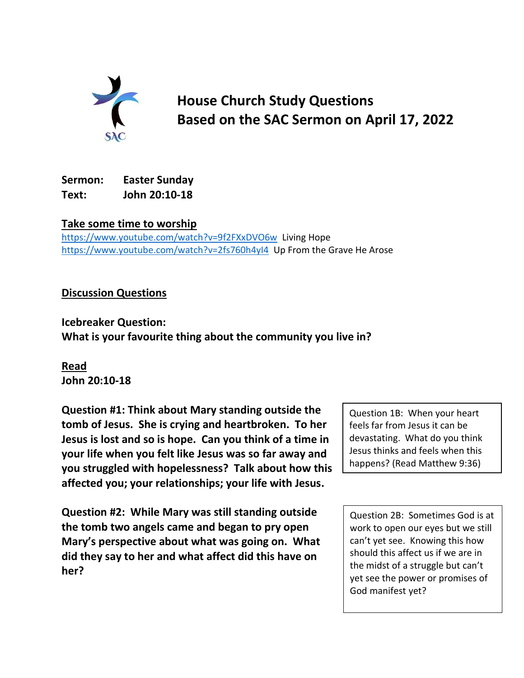

**House Church Study Questions Based on the SAC Sermon on April 17, 2022**

## **Sermon: Easter Sunday Text: John 20:10-18**

**Take some time to worship**

<https://www.youtube.com/watch?v=9f2FXxDVO6w>Living Hope <https://www.youtube.com/watch?v=2fs760h4yI4>Up From the Grave He Arose

## **Discussion Questions**

**Icebreaker Question: What is your favourite thing about the community you live in?**

**Read John 20:10-18**

**Question #1: Think about Mary standing outside the tomb of Jesus. She is crying and heartbroken. To her Jesus is lost and so is hope. Can you think of a time in your life when you felt like Jesus was so far away and you struggled with hopelessness? Talk about how this affected you; your relationships; your life with Jesus.**

**Question #2: While Mary was still standing outside the tomb two angels came and began to pry open Mary's perspective about what was going on. What did they say to her and what affect did this have on her?**

Question 1B: When your heart feels far from Jesus it can be devastating. What do you think Jesus thinks and feels when this happens? (Read Matthew 9:36)

Question 2B: Sometimes God is at work to open our eyes but we still can't yet see. Knowing this how should this affect us if we are in the midst of a struggle but can't yet see the power or promises of God manifest yet?